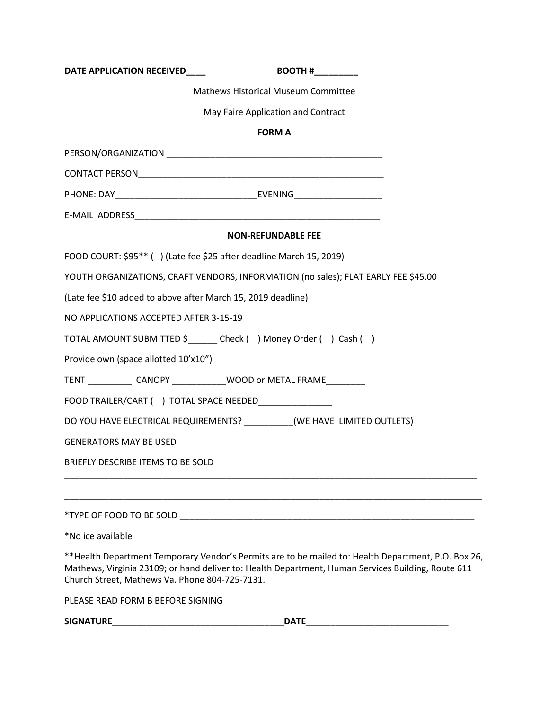| DATE APPLICATION RECEIVED___<br>BOOTH #                                                                                                                                                                                                                     |
|-------------------------------------------------------------------------------------------------------------------------------------------------------------------------------------------------------------------------------------------------------------|
| <b>Mathews Historical Museum Committee</b>                                                                                                                                                                                                                  |
| May Faire Application and Contract                                                                                                                                                                                                                          |
| <b>FORM A</b>                                                                                                                                                                                                                                               |
|                                                                                                                                                                                                                                                             |
|                                                                                                                                                                                                                                                             |
|                                                                                                                                                                                                                                                             |
|                                                                                                                                                                                                                                                             |
| <b>NON-REFUNDABLE FEE</b>                                                                                                                                                                                                                                   |
| FOOD COURT: \$95** () (Late fee \$25 after deadline March 15, 2019)                                                                                                                                                                                         |
| YOUTH ORGANIZATIONS, CRAFT VENDORS, INFORMATION (no sales); FLAT EARLY FEE \$45.00                                                                                                                                                                          |
| (Late fee \$10 added to above after March 15, 2019 deadline)                                                                                                                                                                                                |
| NO APPLICATIONS ACCEPTED AFTER 3-15-19                                                                                                                                                                                                                      |
| TOTAL AMOUNT SUBMITTED \$______ Check () Money Order () Cash ()                                                                                                                                                                                             |
| Provide own (space allotted 10'x10")                                                                                                                                                                                                                        |
| TENT ______________ CANOPY _______________WOOD or METAL FRAME__________                                                                                                                                                                                     |
| FOOD TRAILER/CART ( ) TOTAL SPACE NEEDED________________                                                                                                                                                                                                    |
| DO YOU HAVE ELECTRICAL REQUIREMENTS? _________(WE HAVE LIMITED OUTLETS)                                                                                                                                                                                     |
| <b>GENERATORS MAY BE USED</b>                                                                                                                                                                                                                               |
| BRIEFLY DESCRIBE ITEMS TO BE SOLD                                                                                                                                                                                                                           |
|                                                                                                                                                                                                                                                             |
|                                                                                                                                                                                                                                                             |
| *No ice available                                                                                                                                                                                                                                           |
| **Health Department Temporary Vendor's Permits are to be mailed to: Health Department, P.O. Box 26,<br>Mathews, Virginia 23109; or hand deliver to: Health Department, Human Services Building, Route 611<br>Church Street, Mathews Va. Phone 804-725-7131. |

PLEASE READ FORM B BEFORE SIGNING

**SIGNATURE**\_\_\_\_\_\_\_\_\_\_\_\_\_\_\_\_\_\_\_\_\_\_\_\_\_\_\_\_\_\_\_\_\_\_\_**DATE**\_\_\_\_\_\_\_\_\_\_\_\_\_\_\_\_\_\_\_\_\_\_\_\_\_\_\_\_\_